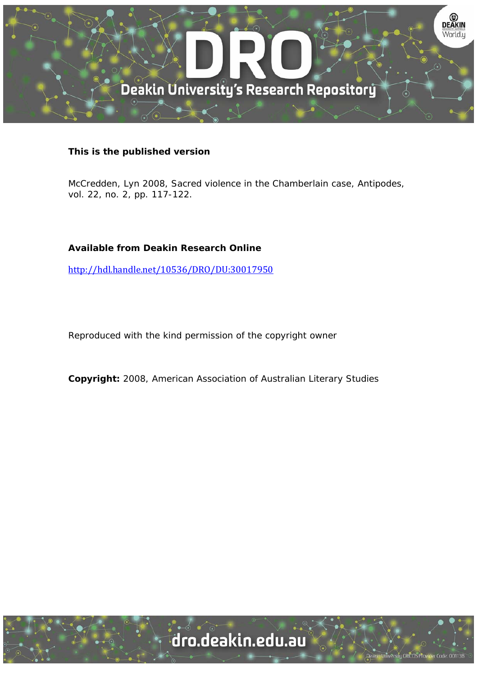

# **This is the published version**

McCredden, Lyn 2008, Sacred violence in the Chamberlain case, Antipodes, vol. 22, no. 2, pp. 117-122.

# **Available from Deakin Research Online**

http://hdl.handle.net/10536/DRO/DU:30017950

Reproduced with the kind permission of the copyright owner

**Copyright:** 2008, American Association of Australian Literary Studies

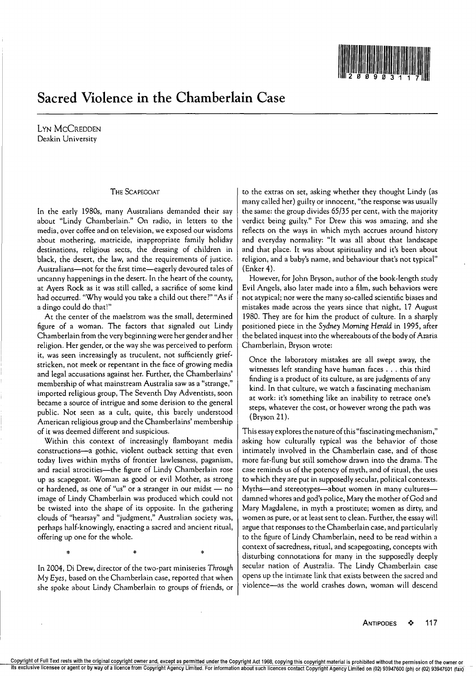

LYN MCCREDDEN Deakin University

## THE SCAPEGOAT

In the early 1980s, many Australians demanded their say about "Lindy Chamberlain." On radio, in letters to the media, over coffee and on television, we exposed our wisdoms about mothering, matricide, inappropriate family holiday destinations, religious sects, the dressing of children in black, the desert, the law, and the requirements of justice. Australians-not for the first time-eagerly devoured tales of uncanny happenings in the desert. In the heart of the county, at Ayers Rock as it was still called, a sacrifice of some kind had occurred. "Why would you take a child out there?" "As if a dingo could do that!"

At the center of the maelstrom was the small, determined figure of a woman. The factors that signaled out Lindy Chamberlain from the very beginning were her gender and her religion. Her gender, or the way she was perceived to perform it, was seen increasingly as truculent, not sufficiently griefstricken, not meek or repentant in the face of growing media and legal accusations against her. Further, the Chamberlains' membership of what mainstream Australia saw as a "strange," imported religious group, The Seventh Day Adventists, soon became a source of intrigue and some derision to the general public. Not seen as a cult, quite, this barely understood American religious group and the Chamberlains' membership of it was deemed different and suspicious.

Within this context of increasingly flamboyant media constructions-a gothic, violent outback setting that even today lives within myths of frontier lawlessness, paganism, and racial atrocities-the figure of Lindy Chamberlain rose up as scapegoat. Woman as good or evil Mother, as strong or hardened, as one of "us" or a stranger in our midst  $-$  no image of Lindy Chamberlain was produced which could not be twisted into the shape of its opposite. In the gathering clouds of "hearsay" and "judgment," Australian society was, perhaps half-knowingly, enacting a sacred and ancient ritual, offering up one for the whole.

In 2004, Di Drew, director of the two-part miniseries *Through My Eyes,* based on the Chamberlain case, reported that when she spoke about Lindy Chamberlain to groups of friends, or

\* \* \*

to the extras on set, asking whether they thought Lindy (as many called her) guilty or innocent, "the response was usually the same: the group divides 65/35 per cent, with the majority verdict being guilty." For Drew this was amazing, and she reflects on the ways in which myth accrues around history and everyday normality: "It was all about that landscape and that place. It was about spirituality and it's been about religion, and a baby's name, and behaviour that's not typical" (Enker 4).

However, for John Bryson, author of the book-length study Evil Angels, also later made into a film, such behaviors were not atypical; nor were the many so-called scientific biases and mistakes made across the years since that night, 17 August 1980. They are for him the product of culture. In a sharply positioned piece in the *Sydney* Morning *Herald* in 1995, after the belated inquest into the whereabouts of the body of Azaria Chamberlain, Bryson wrote:

Once the laboratory mistakes are all swept away, the witnesses left standing have human faces ... this third finding is a product of its culture, as are judgments of any kind. In that culture, we watch a fascinating mechanism at work: it's something like an inability to retrace one's steps, whatever the cost, or however wrong the path was (Bryson 21).

This essay explores the nature of this "fascinating mechanism," asking how culturally typical was the behavior of those intimately involved in the Chamberlain case, and of those more far-flung but still somehow drawn into the drama. The case reminds us of the potency of myth, and of ritual, the uses to which they are put in supposedly secular, political contexts. Myths-and stereotypes-about women in many culturesdamned whores and god's police, Mary the mother of God and Mary Magdalene, in myth a prostitute; women as dirty, and women as pure, or at least sent to clean. Further, the essay will argue that responses to the Chamberlain case, and particularly to the figure of Lindy Chamberlain, need to be read within a context of sacredness, ritual, and scapegoating, concepts with disturbing connotations for many in the supposedly deeply secular nation of Australia. The Lindy Chamberlain case opens up the intimate link that exists between the sacred and violence-as the world crashes down, woman will descend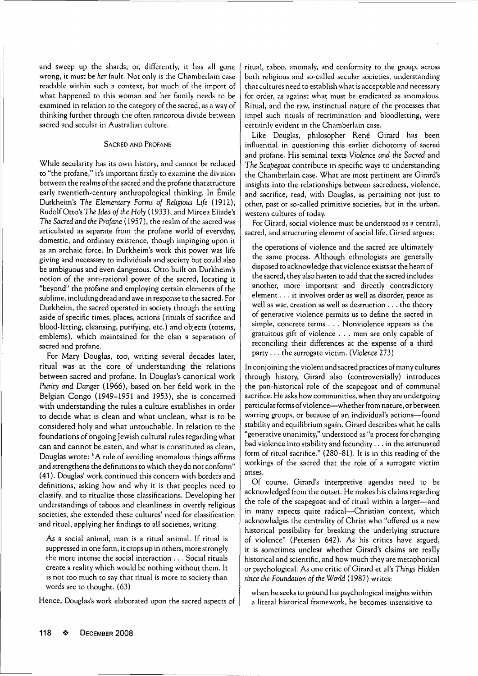and sweep up the shards; or, differently, it has all gone wrong, it must be *her* fault. Not only is the Chamberlain case readable within such a context, but much of the import of what happened to this woman and her family needs to be examined in relation to the category of the sacred, as a way of thinking further through the often rancorous divide between sacred and secular in Australian culture.

## SACRED AND PROFANE

While secularity has its own history, and cannot be reduced to "the profane," it's important firstly to examine the division between the realms of the sacred and the profane that structure early twentieth-century anthropological thinking. In Emile Durkheim's *The Elementary Forms of Religious Life* (1912), Rudolf Otto's *The Idea of the Holy* (1933), and Mircea Eliade's *The Sacred and the Profane* (1957), the realm ofthe sacred was articulated as separate from the profane world of everyday, domestic, and ordinary existence, though impinging upon it as an archaic force. In Durkheim's work this power was life giving and necessary to individuals and society but could also be ambiguous and even dangerous. Otto built on Durkheim's notion of the anti-rational power of the sacred, locating it "beyond" the profane and employing certain elements of the sublime, including dread and awe in response to the sacred. For Durkheim, the sacred operated in society through the setting aside of specific times, places, actions (rituals of sacrifice and blood-letting, cleansing, purifying, etc.) and objects (totems, emblems), which maintained for the clan a separation of sacred and profane.

For Mary Douglas, too, writing several decades later, ritual was at the core of understanding the relations between sacred and profane. In Douglas's canonical work *Purity and Danger* (1966), based on her field work in the Belgian Congo {1949-1951 and 1953), she is concerned with understanding the rules a culture establishes in order to decide what is clean and what unclean, what is to be considered holy and what untouchable. In relation to the foundations of ongoing]ewish cultural rules regarding what can and cannot be eaten, and what is constituted as clean, Douglas wrote: "A rule of avoiding anomalous things affirms and strengthens the definitions to which they do not conform" (41). Douglas' work continued this concern with borders and definitions, asking how and why it is that peoples need to classify, and to ritualize those classifications. Developing her understandings of taboos and cleanliness in overtly religious societies, she extended these cultures' need for classification and ritual, applying her findings to all societies, writing:

As a social animal, man is a ritual animal. If ritual is suppressed in one form, it crops up in others, more strongly the more intense the social interaction ... Social rituals create a reality which would be nothing without them. It is not too much to say that ritual is more to society than words are to thought. (63)

Hence, Douglas's work elaborated upon the sacred aspects of

ritual, taboo, anomaly, and conformity to the group, across both religious and so-called secular societies, understanding that cultures need to establish what is acceptable and necessary for order, as against what must be eradicated as anomalous. Ritual, and the raw, instinctual nature of the processes that impel such rituals of recrimination and bloodletting, were certainly evident in the Chamberlain case.

Like Douglas, philosopher René Girard has been influential in questioning this earlier dichotomy of sacred and profane. His seminal texts *Violence and the Sacred* and The *Scapegoat* contribute in specific ways to understanding the Chamberlain case. What are most pertinent are Girard's insights into the relationships between sacredness, violence, and sacrifice, read, with Douglas, as pertaining not just to other, past or so-called primitive societies, but in the urban, western cultures of today.

For Girard, social violence must be understood as a central, sacred, and structuring element of social life. Girard argues:

the operations of violence and the sacred are ultimately the same process. Although ethnologists are generally disposed to acknowledge that violence exists at the heart of the sacred, they also hasten to add that the sacred includes another, more important and directly contradictory element ... it involves order as well as disorder, peace as well as war, creation as well as destruction ... the theory of generative violence permits us to define the sacred in simple, concrete terms  $\dots$  Nonviolence appears as the gratuitous gift of violence  $\dots$  men are only capable of reconciling their differences at the expense of a third party ... the surrogate victim. *(Violence* 273)

In conjoining the violent and sacred practices of many cultures through history, Girard also (controversially) introduces the pan-historical role of the scapegoat and of communal sacrifice. He asks how communities, when they are undergoing particular forms of violence--whether from nature, or between warring groups, or because of an individual's actions-found stability and equilibrium again. Girard describes what he calls "generative unanimity," understood as "a process for changing bad violence into stability and fecundity ... in the attenuated form of ritual sacrifice." (280-81). It is in this reading of the workings of the sacred that the role of a surrogate victim arises.

Of course, Girard's interpretive agendas need to be acknowledged from the outset. He makes his claims regarding the role of the scapegoat and of ritual within a larger-and in many aspects quite radical—Christian context, which acknowledges the centrality of Christ who "offered us a new historical possibility for breaking the underlying structure of violence" (Petersen 642). As his critics have argued, it is sometimes unclear whether Girard's claims are really historical and scientific, and how much they are metaphorical or psychological. As one critic of Girard et ai's *Things* Hidden since *the Foundation of the World* (1987) writes:

when he seeks to ground his psychological insights within a literal historical framework, he becomes insensitive to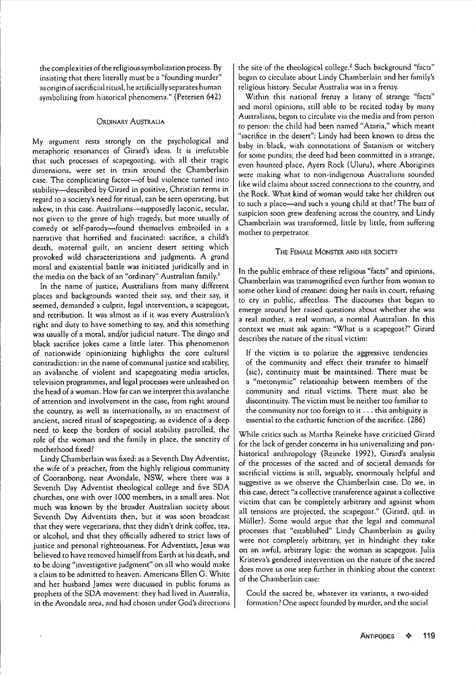the complexities of the religious symbolization process. By insisting that there literally must be a "founding murder" as origin ofsacrificial ritual, he artificially separates human symbolizing from historical phenomena." (Petersen 642)

#### ORDINARY AUSTRALIA

My argument rests strongly on the psychological and metaphoric resonances of Girard's ideas. It is irrefutable that such processes of scapegoating, with all their tragic dimensions, were set in train around the Chamberlain case. The complicating factor-of bad violence turned into stability-described by Girard in positive, Christian terms in regard to a society's need for ritual, can be seen operating, but askew, in this case. Australians—supposedly laconic, secular, not given to the genre of high tragedy, but more usually of comedy or self-parody-found themselves embroiled in a narrative that horrified and fascinated: sacrifice, a child's death, maternal guilt, an ancient desert setting which provoked wild characterizations and judgments. A grand moral and existential battle was initiated juridically and in the media on the back of an "ordinary" Australian family.<sup>1</sup>

In the name of justice, Australians from many different places and backgrounds wanted their say, and their say, it seemed, demanded a culprit, legal intervention, a scapegoat, and retribution. It was almost as if it was every Australian's right and duty to have something to say, and this something was usually of a moral, and/or judicial nature. The dingo and black sacrifice jokes came a little later. This phenomenon of nationwide opinionizing highlights the core cultural contradiction: in the name of communal justice and stability, an avalanche of violent and scapegoating media articles, television programmes, and legal processes were unleashed on the head of a woman. How far can we interpret this avalanche of attention and involvement in the case, from right around the country, as well as internationally, as an enactment of ancient, sacred ritual of scapegoating, as evidence of a deep need to keep the borders of social stability patrolled, the role of the woman and the family in place, the sanctity of motherhood fixed?

Lindy Chamberlain was fixed: as a Seventh Day Adventist, the wife of a preacher, from the highly religious community of Cooranbong, near Avondale, NSW, where there was a Seventh Day Adventist theological college and five SDA churches, one with over 1000 members, in a small area. Not much was known by the broader Australian society about Seventh Day Adventists then, but it was soon broadcast that they were vegetarians, that they didn't drink coffee, tea, or alcohol, and that they officially adhered to strict laws of justice and personal righteousness. For Adventists, Jesus was believed to have removed himself from Earth at his death, and to be doing "investigative judgment" on all who would make a claim to be admitted to heaven. Americans Ellen G. White and her husband James were discussed in public forums as prophets of the SDA movement: they had lived in Australia, in the Avondale area, and had chosen under God's directions

the site of the theological college.2 Such background "facts" began to circulate about Lindy Chamberlain and her family's religious history. Secular Australia was in a frenzy.

Within this national frenzy a litany of strange "facts" and moral opinions, still able to be recited today by many Australians, began to circulate via the media and from person to person: the child had been named "Azaria," which meant "sacrifice in the desert"; Lindy had been known to dress the baby in black, with connotations of Satanism or witchery for some pundits; the deed had been committed in a strange, even haunted place, Ayers Rock (Uluru), where Aborigines were making what to non-indigenous Australians sounded like wild claims about sacred connections to the country, and the Rock. What kind of woman would take her children out to such a place-and such a young child at that? The buzz of suspicion soon grew deafening across the country, and Lindy Chamberlain was transformed, little by little, from suffering mother to perpetrator.

#### THE FEMALE MONSTER AND HER SOCIETY

In the public embrace of these religious "facts" and opinions, Chamberlain was transmogrified even further from woman to some other kind of *creature:* doing her nails in court, refusing to cry in public, affectless. The discourses that began to emerge around her raised questions about whether she was a real mother, a real woman, a normal Australian. In this context we must ask again: "What is a scapegoat?" Girard describes the nature of the ritual victim:

If the victim is to polarize the aggressive tendencies of the community and effect their transfer to himself (sic), continuity must be maintained. There must be a "metonymic" relationship between members of the community and ritual victims. There must also be discontinuity. The victim must be neither too familiar to the community nor too foreign to it ... this ambiguity is essential to the cathartic function of the sacrifice. (286)

While critics such as Martha Reineke have criticized Girard for the lack of gender concerns in his universalizing and panhistorical anthropology (Reineke 1992), Girard's analysis of the processes of the sacred and of societal demands for sacrificial victims is still, arguably, enormously helpful and suggestive as we observe the Chamberlain case. Do we, in this case, detect "a collective transference against a collective victim that can be completely arbitrary and against whom all tensions are projected, the scapegoat." (Girard, qtd. in Muller). Some would argue that the legal and communal processes that "established" Lindy Chamberlain as guilty were not completely arbitrary, yet in hindsight they take on an awful, arbitrary logic: the woman as scapegoat. Julia Kristeva's gendered intervention on the nature of the sacred does move us one step further in thinking about the context of the Chamberlain case:

Could the sacred be, whatever its variants, a two-sided formation? One aspect founded by murder, and the social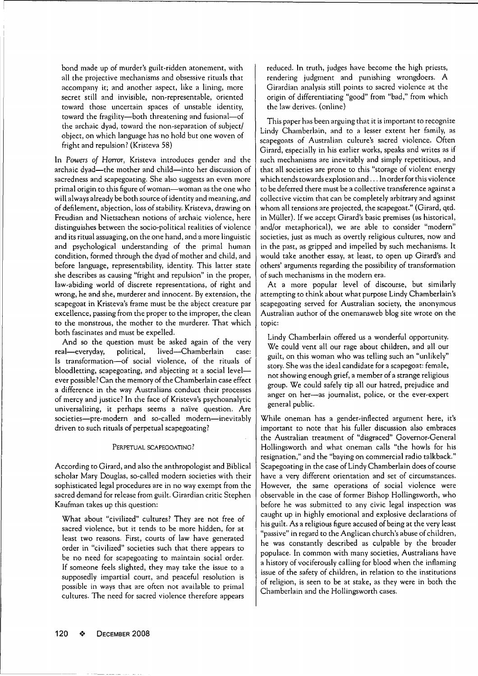bond made up of murder's guilt-ridden atonement, with all the projective mechanisms and obsessive rituals that accompany it; and another aspect, like a lining, more secret still and invisible, non-representable, oriented toward those uncertain spaces of unstable identity, toward the fragility-both threatening and fusional-of the archaic dyad, toward the non-separation of subject/ object, on which language has no hold but one woven of fright and repulsion? (Kristeva 58)

In *Powers of* Horror, Kristeva introduces gender and the archaic dyad-the mother and child-into her discussion of sacredness and scapegoating. She also suggests an even more primal origin to this figure of woman-woman as the one who will always already be both source of identity and meaning, and of defilement, abjection, loss of stability. Kristeva, drawing on Freudian and Nietszchean notions of archaic violence, here distinguishes between the socio-political realities of violence and its ritual assuaging, on the one hand, and a more linguistic and psychological understanding of the primal human condition, formed through the dyad of mother and child, and before language, representability, identity. This latter state she describes as causing "fright and repulsion" in the proper, law-abiding world of discrete representations, of right and wrong, he and she, murderer and innocent. By extension, the scapegoat in Kristeva's frame must be the abject creature par excellence, passing from the proper to the improper, the clean to the monstrous, the mother to the murderer. That which both fascinates and must be expelled.

And so the question must be asked again of the very real-everyday, political, lived--Chamberlain case: Is transformation-of social violence, of the rituals of bloodletting, scapegoating, and abjecting at a social levelever possible? Can the memory of the Chamberlain case effect a difference in the way Australians conduct their processes of mercy and justice? In the face of Kristeva's psychoanalytic universalizing, it perhaps seems a na'ive question. Are societies-pre-modern and so-called modern-inevitably driven to such rituals of perpetual scapegoating?

#### PERPETUAL SCAPEGOATING?

According to Girard, and also the anthropologist and Biblical scholar Mary Douglas, so-called modern societies with their sophisticated legal procedures are in no way exempt from the sacred demand for release from guilt. Girardian critic Stephen Kaufman takes up this question:

What about "civilized" cultures? They are not free of sacred violence, but it tends to be more hidden, for at least two reasons. First, courts of law have generated order in "civilized" societies such that there appears to be no need for scapegoating to maintain social order. If someone feels slighted, they may take the issue to a supposedly impartial court, and peaceful resolution is possible in ways that are often not available to primal cultures. The need for sacred violence therefore appears reduced. In truth, judges have become the high priests, rendering judgment and punishing wrongdoers. A Girardian analysis still points to sacred violence at the origin of differentiating "good" from "bad," from which the law derives. (online)

This paper has been arguing that it is important to recognize Lindy Chamberlain, and to a lesser extent her family, as scapegoats of Australian culture's sacred violence. Often Girard, especially in his earlier works, speaks and writes as if such mechanisms are inevitably and simply repetitious, and that all societies are prone to this "storage of violent energy which tends towards explosion and ... In order for this violence to be deferred there must be a collective transference against a collective victim that can be completely arbitrary and against whom all tensions are projected, the scapegoat." (Girard, qtd. in Muller). If we accept Girard's basic premises (as historical, and/or metaphorical), we are able to consider "modern" societies, just as much as overtly religious cultures, now and in the past, as gripped and impelled by such mechanisms. It would take another essay, at least, to open up Girard's and others' arguments regarding the possibility of transformation of such mechanisms in the modern era.

At a more popular level of discourse, but similarly attempting to think about what purpose Lindy Chamberlain's scapegoating served for Australian society, the anonymous Australian author of the onemansweb blog site wrote on the topic:

Lindy Chamberlain offered us a wonderful opportunity. We could vent all our rage about children, and all our guilt, on this woman who was telling such an "unlikely" story. She was the ideal candidate for a scapegoat: female, not showing enough grief, a member of a strange religious group. We could safely tip all our hatred, prejudice and anger on her-as journalist, police, or the ever-expert general public.

While oneman has a gender-inflected argument here, it's important to note that his fuller discussion also embraces the Australian treatment of "disgraced" Governor-General Hollingsworth and what oneman calls "the howls for his resignation," and the "baying on commercial radio talkback." Scapegoating in the case of Lindy Chamberlain does of course have a very different orientation and set of circumstances. However, the same operations of social violence were observable in the case of former Bishop Hollingsworth, who before he was submitted to any civic legal inspection was caught up in highly emotional and explosive declarations of his guilt. As a religious figure accused of being at the very least "passive" in regard to the Anglican church's abuse of children, he was constantly described as culpable by the broader populace. In common with many societies, Australians have a history of vociferously calling for blood when the inflaming issue of the safety of children, in relation to the institutions of religion, is seen to be at stake, as they were in both the Chamberlain and the Hollingsworth cases.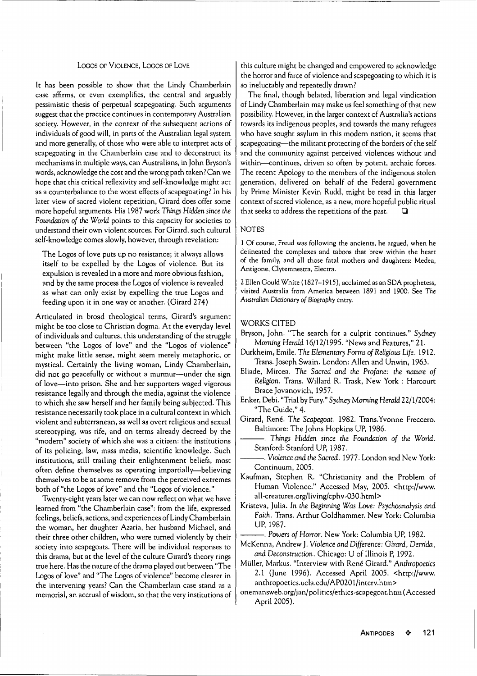#### LOGOS OF VIOLENCE, LOGOS OF LOVE

It has been possible to show that the Lindy Chamberlain case affirms, or even exemplifies, the central and arguably pessimistic thesis of perpetual scapegoating. Such arguments suggest that the practice continues in contemporary Australian society. However, in the context of the subsequent actions of individuals of good will, in parts of the Australian legal system and more generally, of those who were able to interpret acts of scapegoating in the Chamberlain case and to deconstruct its mechanisms in multiple ways, can Australians, in John Bryson's words, acknowledge the cost and the wrong path taken?Can we hope that this critical reflexivity and self-knowledge might act as a counterbalance to the worst effects of scapegoating? In his later view of sacred violent repetition, Girard does offer some more hopeful arguments. His 1987 work *Things Hidden* since *the Foundation of* the *World* points to this capacity for societies to understand their own violent sources. For Girard, such cultural self-knowledge comes slowly, however, through revelation:

The Logos of love puts up no resistance; it always allows itself to be expelled by the Logos of violence. But its expulsion is revealed in a more and more obvious fashion, and by the same process the Logos of violence is revealed as what can only exist by expelling the true Logos and feeding upon it in one way or another. (Girard 274)

Articulated in broad theological terms, Girard's argument might be too close to Christian dogma. At the everyday level of individuals and cultures, this understanding of the struggle between "the Logos of love" and the "Logos of violence" might make little sense, might seem merely metaphoric, or mystical. Certainly the living woman, Lindy Chamberlain, did not go peacefully or without a murmur-under the sign of love-into prison. She and her supporters waged vigorous resistance legally and through the media, against the violence to which she saw herself and her family being subjected. This resistance necessarily took place in a cultural context in which violent and subterranean, as well as overt religious and sexual stereotyping, was rife, and on terms already decreed by the "modern" society of which she was a citizen: the institutions of its policing, law, mass media, scientific knowledge. Such institutions, still trailing their enlightenment beliefs, most often define themselves as operating impartially-believing themselves to be at some remove from the perceived extremes both of "the Logos of love" and the "Logos of violence."

Twenty-eight years later we can now reflect on what we have learned from "the Chamberlain case": from the life, expressed feelings, beliefs, actions, and experiences of Lindy Chamberlain the woman, her daughter Azaria, her husband Michael, and their three other children, who were turned violently by their society into scapegoats. There will be individual responses to this drama, but at the level of the culture Girard's theory rings true here. Has the nature of the drama played out between "The Logos of love" and "The Logos of violence" become clearer in the intervening years? Can the Chamberlain case stand as a memorial, an accrual of wisdom, so that the very institutions of

this culture might be changed and empowered to acknowledge the horror and farce of violence and scapegoating to which it is so ineluctably and repeatedly drawn?

The final, though belated, liberation and legal vindication of Lindy Chamberlain may make us feel something of that new possibility. However, in the larger context of Australia's actions towards its indigenous peoples, and towards the many refugees who have sought asylum in this modern nation, it seems that scapegoating-the militant protecting of the borders of the self and the community against perceived violences without and within-continues, driven so often by potent, archaic forces. The recent Apology to the members of the indigenous stolen generation, delivered on behalf of the Federal government by Prime Minister Kevin Rudd, might be read in this larger context of sacred violence, as a new, more hopeful public ritual that seeks to address the repetitions of the past.  $\Box$ 

### NOTES

1 Of course, Freud was following the ancients, he argued, when he delineated the complexes and taboos that brew within the heart of the family, and all those fatal mothers and daughters: Medea, Antigone, Clytemnestra, Electra.

2 Ellen Gould White (1827-1915), acclaimed as an SDA prophetess, visited Australia from America between 1891 and 1900. See *The Australian Dictionary of Biography* entry.

## WORKS CITED

- Bryson, John. "The search for a culprit continues." *Sydney* Morning *Herald* 16/12/1995. "News and Features," 21.
- Durkheim, Emile. *The Elementary* Farms *ofReligious Life. 1912.* Trans. Joseph Swain. London: Allen and Unwin, 1963.
- Eliade, Mircea. *The Sacred and the Profane: the nature of* Religion. Trans. Willard R. Trask, New York: Harcourt Brace Jovanovich, 1957.
- Enker, Debi. "Trial by Fury." *Sydney* Morning *Herald 22/1/2004:* "The Guide," 4.
- Girard, Rene. *The Scapegoat.* 1982. Trans.Yvonne Freccero. Baltimore: The Johns Hopkins UP, 1986.
- ---. Things Hidden since *the Foundation of the World.* Stanford: Stanford UP, 1987.
- $V$ *iolence and the Sacred.* 1977. London and New York: Continuum, 2005.
- Kaufman, Stephen R. "Christianity and the Problem of Human Violence." Accessed May, 2005. <http://www. all-creatures.org/living/cphv-030.html>
- Kristeva, Julia. In *the* Beginning *Was Love: Psychoanalysis and Faith.* Trans. Arthur Goldhammer. New York: Columbia UP, 1987.
- ---. *Powers of Horror.* New York: Columbia UP, 1982.
- McKenna, Andrew J. *Violence and Difference: Girard, Derrida, and Deconstruction.* Chicago: U of lllinois P, 1992.
- Muller, Markus. "Interview with Rene Girard." *Anthropoetics* 2.1 (June 1996). Accessed April 2005. <http://www. anthropoetics.ucla.edu/AP020 l/interv.htm>
- onemansweb.org/jan/politics/ethics-scapegoat.htm (Accessed April 2005).